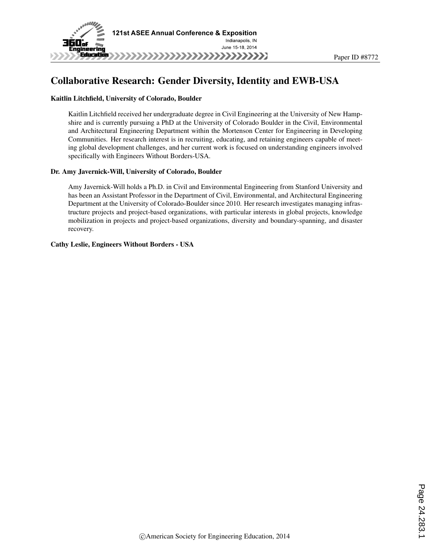

# Collaborative Research: Gender Diversity, Identity and EWB-USA

#### Kaitlin Litchfield, University of Colorado, Boulder

Kaitlin Litchfield received her undergraduate degree in Civil Engineering at the University of New Hampshire and is currently pursuing a PhD at the University of Colorado Boulder in the Civil, Environmental and Architectural Engineering Department within the Mortenson Center for Engineering in Developing Communities. Her research interest is in recruiting, educating, and retaining engineers capable of meeting global development challenges, and her current work is focused on understanding engineers involved specifically with Engineers Without Borders-USA.

#### Dr. Amy Javernick-Will, University of Colorado, Boulder

Amy Javernick-Will holds a Ph.D. in Civil and Environmental Engineering from Stanford University and has been an Assistant Professor in the Department of Civil, Environmental, and Architectural Engineering Department at the University of Colorado-Boulder since 2010. Her research investigates managing infrastructure projects and project-based organizations, with particular interests in global projects, knowledge mobilization in projects and project-based organizations, diversity and boundary-spanning, and disaster recovery.

#### Cathy Leslie, Engineers Without Borders - USA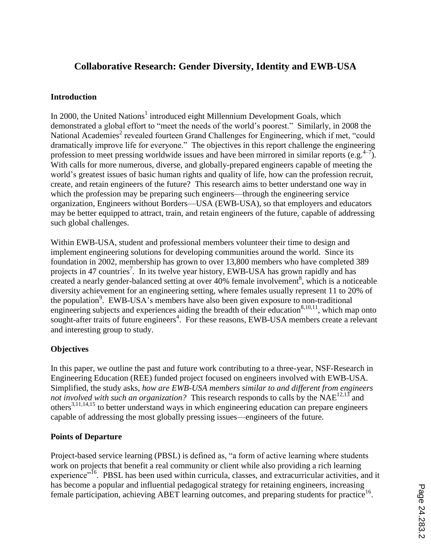# **Collaborative Research: Gender Diversity, Identity and EWB-USA**

### **Introduction**

In 2000, the United Nations<sup>1</sup> introduced eight Millennium Development Goals, which demonstrated a global effort to "meet the needs of the world's poorest." Similarly, in 2008 the National Academies<sup>2</sup> revealed fourteen Grand Challenges for Engineering, which if met, "could dramatically improve life for everyone." The objectives in this report challenge the engineering profession to meet pressing worldwide issues and have been mirrored in similar reports (e.g.  $4-7$ ). With calls for more numerous, diverse, and globally-prepared engineers capable of meeting the world's greatest issues of basic human rights and quality of life, how can the profession recruit, create, and retain engineers of the future? This research aims to better understand one way in which the profession may be preparing such engineers—through the engineering service organization, Engineers without Borders—USA (EWB-USA), so that employers and educators may be better equipped to attract, train, and retain engineers of the future, capable of addressing such global challenges.

Within EWB-USA, student and professional members volunteer their time to design and implement engineering solutions for developing communities around the world. Since its foundation in 2002, membership has grown to over 13,800 members who have completed 389 projects in 47 countries<sup>7</sup>. In its twelve year history, EWB-USA has grown rapidly and has created a nearly gender-balanced setting at over  $40\%$  female involvement<sup>8</sup>, which is a noticeable diversity achievement for an engineering setting, where females usually represent 11 to 20% of the population<sup>9</sup>. EWB-USA's members have also been given exposure to non-traditional engineering subjects and experiences aiding the breadth of their education  $8,10,11$ , which map onto sought-after traits of future engineers<sup>4</sup>. For these reasons, EWB-USA members create a relevant and interesting group to study.

# **Objectives**

In this paper, we outline the past and future work contributing to a three-year, NSF-Research in Engineering Education (REE) funded project focused on engineers involved with EWB-USA. Simplified, the study asks, *how are EWB-USA members similar to and different from engineers not involved with such an organization?* This research responds to calls by the NAE<sup>12,13</sup> and others<sup>3,11,14,15</sup> to better understand ways in which engineering education can prepare engineers capable of addressing the most globally pressing issues—engineers of the future.

### **Points of Departure**

Project-based service learning (PBSL) is defined as, "a form of active learning where students work on projects that benefit a real community or client while also providing a rich learning experience<sup>"16</sup>. PBSL has been used within curricula, classes, and extracurricular activities, and it has become a popular and influential pedagogical strategy for retaining engineers, increasing female participation, achieving ABET learning outcomes, and preparing students for practice<sup>16</sup>.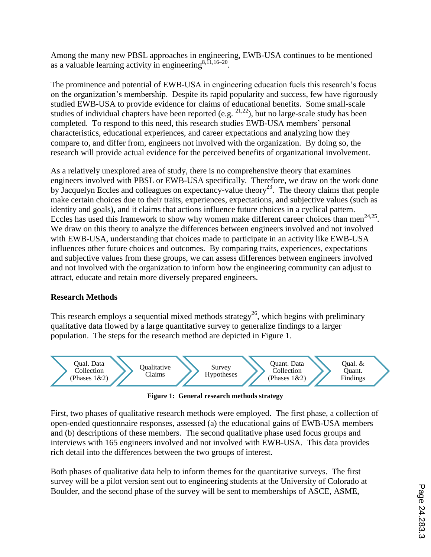Among the many new PBSL approaches in engineering, EWB-USA continues to be mentioned as a valuable learning activity in engineering  $8,11,16-20$ .

The prominence and potential of EWB-USA in engineering education fuels this research's focus on the organization's membership. Despite its rapid popularity and success, few have rigorously studied EWB-USA to provide evidence for claims of educational benefits. Some small-scale studies of individual chapters have been reported (e.g.  $2^{1,22}$ ), but no large-scale study has been completed. To respond to this need, this research studies EWB-USA members' personal characteristics, educational experiences, and career expectations and analyzing how they compare to, and differ from, engineers not involved with the organization. By doing so, the research will provide actual evidence for the perceived benefits of organizational involvement.

As a relatively unexplored area of study, there is no comprehensive theory that examines engineers involved with PBSL or EWB-USA specifically. Therefore, we draw on the work done by Jacquelyn Eccles and colleagues on expectancy-value theory<sup>23</sup>. The theory claims that people make certain choices due to their traits, experiences, expectations, and subjective values (such as identity and goals), and it claims that actions influence future choices in a cyclical pattern. Eccles has used this framework to show why women make different career choices than men<sup>24,25</sup>. We draw on this theory to analyze the differences between engineers involved and not involved with EWB-USA, understanding that choices made to participate in an activity like EWB-USA influences other future choices and outcomes. By comparing traits, experiences, expectations and subjective values from these groups, we can assess differences between engineers involved and not involved with the organization to inform how the engineering community can adjust to attract, educate and retain more diversely prepared engineers.

### **Research Methods**

This research employs a sequential mixed methods strategy<sup>26</sup>, which begins with preliminary qualitative data flowed by a large quantitative survey to generalize findings to a larger population. The steps for the research method are depicted in Figure 1.



**Figure 1: General research methods strategy**

First, two phases of qualitative research methods were employed. The first phase, a collection of open-ended questionnaire responses, assessed (a) the educational gains of EWB-USA members and (b) descriptions of these members. The second qualitative phase used focus groups and interviews with 165 engineers involved and not involved with EWB-USA. This data provides rich detail into the differences between the two groups of interest.

Both phases of qualitative data help to inform themes for the quantitative surveys. The first survey will be a pilot version sent out to engineering students at the University of Colorado at Boulder, and the second phase of the survey will be sent to memberships of ASCE, ASME,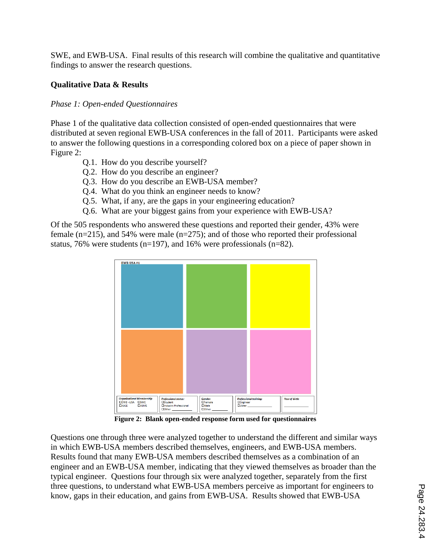SWE, and EWB-USA. Final results of this research will combine the qualitative and quantitative findings to answer the research questions.

#### **Qualitative Data & Results**

#### *Phase 1: Open-ended Questionnaires*

Phase 1 of the qualitative data collection consisted of open-ended questionnaires that were distributed at seven regional EWB-USA conferences in the fall of 2011. Participants were asked to answer the following questions in a corresponding colored box on a piece of paper shown in Figure 2:

- Q.1. How do you describe yourself?
- Q.2. How do you describe an engineer?
- Q.3. How do you describe an EWB-USA member?
- Q.4. What do you think an engineer needs to know?
- Q.5. What, if any, are the gaps in your engineering education?
- Q.6. What are your biggest gains from your experience with EWB-USA?

Of the 505 respondents who answered these questions and reported their gender, 43% were female (n=215), and 54% were male (n=275); and of those who reported their professional status, 76% were students (n=197), and 16% were professionals (n=82).



**Figure 2: Blank open-ended response form used for questionnaires**

Questions one through three were analyzed together to understand the different and similar ways in which EWB-USA members described themselves, engineers, and EWB-USA members. Results found that many EWB-USA members described themselves as a combination of an engineer and an EWB-USA member, indicating that they viewed themselves as broader than the typical engineer. Questions four through six were analyzed together, separately from the first three questions, to understand what EWB-USA members perceive as important for engineers to know, gaps in their education, and gains from EWB-USA. Results showed that EWB-USA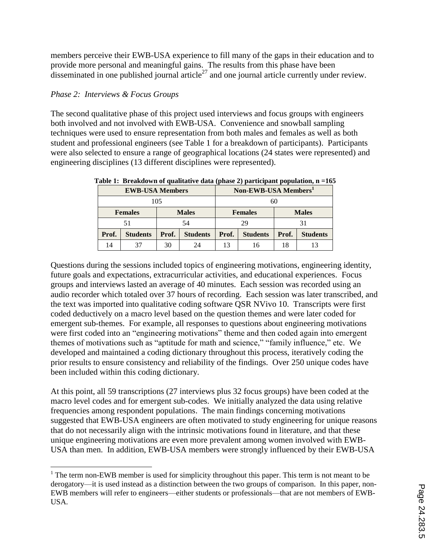members perceive their EWB-USA experience to fill many of the gaps in their education and to provide more personal and meaningful gains. The results from this phase have been disseminated in one published journal article<sup>27</sup> and one journal article currently under review.

# *Phase 2: Interviews & Focus Groups*

The second qualitative phase of this project used interviews and focus groups with engineers both involved and not involved with EWB-USA. Convenience and snowball sampling techniques were used to ensure representation from both males and females as well as both student and professional engineers (see Table 1 for a breakdown of participants). Participants were also selected to ensure a range of geographical locations (24 states were represented) and engineering disciplines (13 different disciplines were represented).

| <b>EWB-USA Members</b> |                 |              |                 | $\sim$<br>Non-EWB-USA Members <sup>1</sup> |                 |              |                 |
|------------------------|-----------------|--------------|-----------------|--------------------------------------------|-----------------|--------------|-----------------|
| 105                    |                 |              |                 | 60                                         |                 |              |                 |
| <b>Females</b>         |                 | <b>Males</b> |                 | <b>Females</b>                             |                 | <b>Males</b> |                 |
| 51                     |                 | 54           |                 | 29                                         |                 | 31           |                 |
| Prof.                  | <b>Students</b> | Prof.        | <b>Students</b> | Prof.                                      | <b>Students</b> | Prof.        | <b>Students</b> |
| 14                     |                 | 30           | 24              |                                            |                 | 18           |                 |

**Table 1: Breakdown of qualitative data (phase 2) participant population, n =165**

Questions during the sessions included topics of engineering motivations, engineering identity, future goals and expectations, extracurricular activities, and educational experiences. Focus groups and interviews lasted an average of 40 minutes. Each session was recorded using an audio recorder which totaled over 37 hours of recording. Each session was later transcribed, and the text was imported into qualitative coding software QSR NVivo 10. Transcripts were first coded deductively on a macro level based on the question themes and were later coded for emergent sub-themes. For example, all responses to questions about engineering motivations were first coded into an "engineering motivations" theme and then coded again into emergent themes of motivations such as "aptitude for math and science," "family influence," etc. We developed and maintained a coding dictionary throughout this process, iteratively coding the prior results to ensure consistency and reliability of the findings. Over 250 unique codes have been included within this coding dictionary.

At this point, all 59 transcriptions (27 interviews plus 32 focus groups) have been coded at the macro level codes and for emergent sub-codes. We initially analyzed the data using relative frequencies among respondent populations. The main findings concerning motivations suggested that EWB-USA engineers are often motivated to study engineering for unique reasons that do not necessarily align with the intrinsic motivations found in literature, and that these unique engineering motivations are even more prevalent among women involved with EWB-USA than men. In addition, EWB-USA members were strongly influenced by their EWB-USA

l  $1$  The term non-EWB member is used for simplicity throughout this paper. This term is not meant to be derogatory—it is used instead as a distinction between the two groups of comparison. In this paper, non-EWB members will refer to engineers—either students or professionals—that are not members of EWB-USA.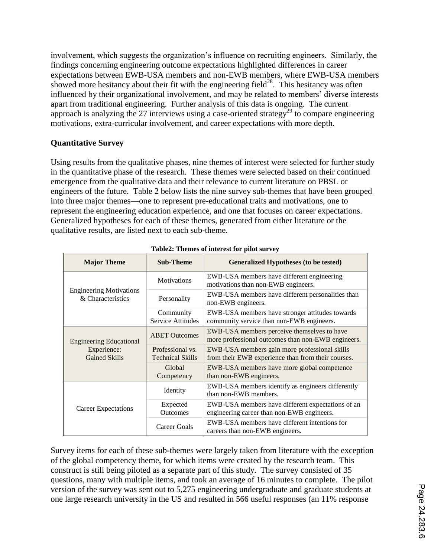involvement, which suggests the organization's influence on recruiting engineers. Similarly, the findings concerning engineering outcome expectations highlighted differences in career expectations between EWB-USA members and non-EWB members, where EWB-USA members showed more hesitancy about their fit with the engineering field $^{28}$ . This hesitancy was often influenced by their organizational involvement, and may be related to members' diverse interests apart from traditional engineering. Further analysis of this data is ongoing. The current approach is analyzing the 27 interviews using a case-oriented strategy<sup>29</sup> to compare engineering motivations, extra-curricular involvement, and career expectations with more depth.

# **Quantitative Survey**

Using results from the qualitative phases, nine themes of interest were selected for further study in the quantitative phase of the research. These themes were selected based on their continued emergence from the qualitative data and their relevance to current literature on PBSL or engineers of the future. Table 2 below lists the nine survey sub-themes that have been grouped into three major themes—one to represent pre-educational traits and motivations, one to represent the engineering education experience, and one that focuses on career expectations. Generalized hypotheses for each of these themes, generated from either literature or the qualitative results, are listed next to each sub-theme.

| <b>Major Theme</b>                                  | <b>Sub-Theme</b>                      | <b>Generalized Hypotheses (to be tested)</b>                                                        |  |  |  |
|-----------------------------------------------------|---------------------------------------|-----------------------------------------------------------------------------------------------------|--|--|--|
|                                                     | <b>Motivations</b>                    | EWB-USA members have different engineering<br>motivations than non-EWB engineers.                   |  |  |  |
| <b>Engineering Motivations</b><br>& Characteristics | Personality                           | EWB-USA members have different personalities than<br>non-EWB engineers.                             |  |  |  |
|                                                     | Community<br><b>Service Attitudes</b> | EWB-USA members have stronger attitudes towards<br>community service than non-EWB engineers.        |  |  |  |
| <b>Engineering Educational</b>                      | <b>ABET Outcomes</b>                  | EWB-USA members perceive themselves to have<br>more professional outcomes than non-EWB engineers.   |  |  |  |
| Experience:<br><b>Gained Skills</b>                 | Professional vs.<br>Technical Skills  | EWB-USA members gain more professional skills<br>from their EWB experience than from their courses. |  |  |  |
|                                                     | Global<br>Competency                  | EWB-USA members have more global competence<br>than non-EWB engineers.                              |  |  |  |
|                                                     | Identity                              | EWB-USA members identify as engineers differently<br>than non-EWB members.                          |  |  |  |
| Career Expectations                                 | Expected<br><b>Outcomes</b>           | EWB-USA members have different expectations of an<br>engineering career than non-EWB engineers.     |  |  |  |
|                                                     | Career Goals                          | EWB-USA members have different intentions for<br>careers than non-EWB engineers.                    |  |  |  |

#### **Table2: Themes of interest for pilot survey**

Survey items for each of these sub-themes were largely taken from literature with the exception of the global competency theme, for which items were created by the research team. This construct is still being piloted as a separate part of this study. The survey consisted of 35 questions, many with multiple items, and took an average of 16 minutes to complete. The pilot version of the survey was sent out to 5,275 engineering undergraduate and graduate students at one large research university in the US and resulted in 566 useful responses (an 11% response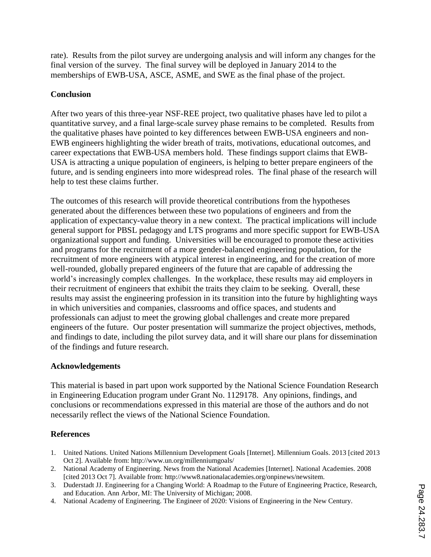rate). Results from the pilot survey are undergoing analysis and will inform any changes for the final version of the survey. The final survey will be deployed in January 2014 to the memberships of EWB-USA, ASCE, ASME, and SWE as the final phase of the project.

### **Conclusion**

After two years of this three-year NSF-REE project, two qualitative phases have led to pilot a quantitative survey, and a final large-scale survey phase remains to be completed. Results from the qualitative phases have pointed to key differences between EWB-USA engineers and non-EWB engineers highlighting the wider breath of traits, motivations, educational outcomes, and career expectations that EWB-USA members hold. These findings support claims that EWB-USA is attracting a unique population of engineers, is helping to better prepare engineers of the future, and is sending engineers into more widespread roles. The final phase of the research will help to test these claims further.

The outcomes of this research will provide theoretical contributions from the hypotheses generated about the differences between these two populations of engineers and from the application of expectancy-value theory in a new context. The practical implications will include general support for PBSL pedagogy and LTS programs and more specific support for EWB-USA organizational support and funding. Universities will be encouraged to promote these activities and programs for the recruitment of a more gender-balanced engineering population, for the recruitment of more engineers with atypical interest in engineering, and for the creation of more well-rounded, globally prepared engineers of the future that are capable of addressing the world's increasingly complex challenges. In the workplace, these results may aid employers in their recruitment of engineers that exhibit the traits they claim to be seeking. Overall, these results may assist the engineering profession in its transition into the future by highlighting ways in which universities and companies, classrooms and office spaces, and students and professionals can adjust to meet the growing global challenges and create more prepared engineers of the future. Our poster presentation will summarize the project objectives, methods, and findings to date, including the pilot survey data, and it will share our plans for dissemination of the findings and future research.

### **Acknowledgements**

This material is based in part upon work supported by the National Science Foundation Research in Engineering Education program under Grant No. 1129178. Any opinions, findings, and conclusions or recommendations expressed in this material are those of the authors and do not necessarily reflect the views of the National Science Foundation.

### **References**

- 1. United Nations. United Nations Millennium Development Goals [Internet]. Millennium Goals. 2013 [cited 2013 Oct 2]. Available from: http://www.un.org/millenniumgoals/
- 2. National Academy of Engineering. News from the National Academies [Internet]. National Academies. 2008 [cited 2013 Oct 7]. Available from: http://www8.nationalacademies.org/onpinews/newsitem.
- 3. Duderstadt JJ. Engineering for a Changing World: A Roadmap to the Future of Engineering Practice, Research, and Education. Ann Arbor, MI: The University of Michigan; 2008.
- 4. National Academy of Engineering. The Engineer of 2020: Visions of Engineering in the New Century.